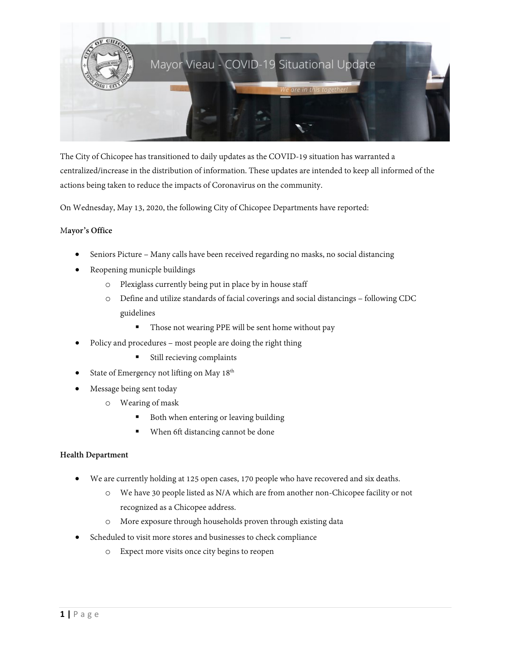

The City of Chicopee has transitioned to daily updates as the COVID-19 situation has warranted a centralized/increase in the distribution of information. These updates are intended to keep all informed of the actions being taken to reduce the impacts of Coronavirus on the community.

On Wednesday, May 13, 2020, the following City of Chicopee Departments have reported:

# M**ayor's Office**

- Seniors Picture Many calls have been received regarding no masks, no social distancing
- Reopening municple buildings
	- o Plexiglass currently being put in place by in house staff
	- o Define and utilize standards of facial coverings and social distancings following CDC guidelines
		- Those not wearing PPE will be sent home without pay
- Policy and procedures most people are doing the right thing
	- Still recieving complaints
- State of Emergency not lifting on May 18<sup>th</sup>
- Message being sent today
	- o Wearing of mask
		- Both when entering or leaving building
		- **When 6ft distancing cannot be done**

# **Health Department**

- We are currently holding at 125 open cases, 170 people who have recovered and six deaths.
	- o We have 30 people listed as N/A which are from another non-Chicopee facility or not recognized as a Chicopee address.
	- o More exposure through households proven through existing data
- Scheduled to visit more stores and businesses to check compliance
	- o Expect more visits once city begins to reopen